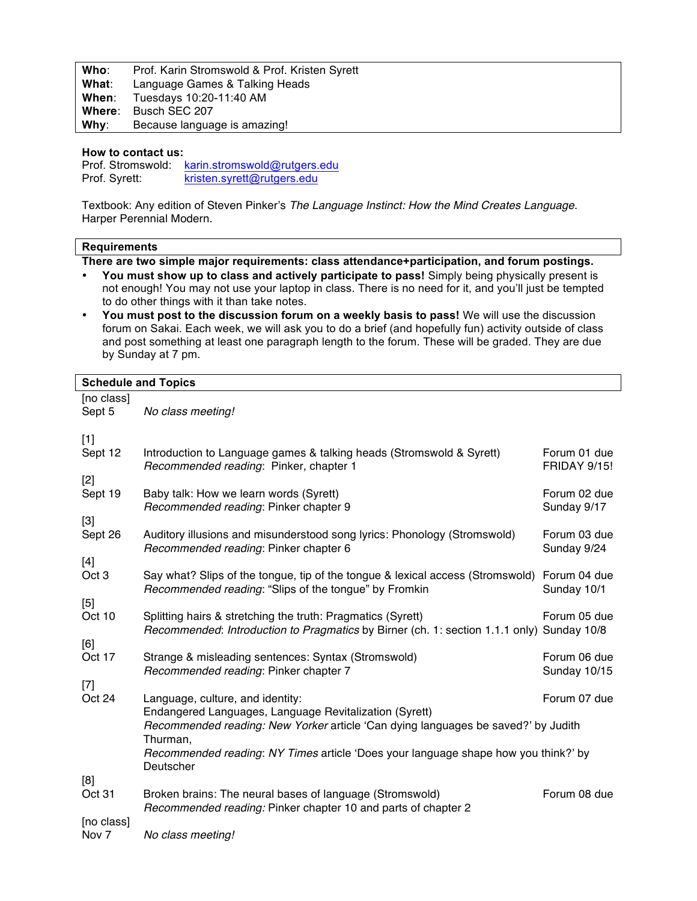| Who:  | Prof. Karin Stromswold & Prof. Kristen Syrett |
|-------|-----------------------------------------------|
| What∶ | Language Games & Talking Heads                |
|       | <b>When:</b> Tuesdays 10:20-11:40 AM          |
|       | Where: Busch SEC 207                          |
|       | Why: Because language is amazing!             |

## **How to contact us:**

Prof. Stromswold: karin.stromswold@rutgers.edu Prof. Syrett: kristen.syrett@rutgers.edu

Textbook: Any edition of Steven Pinker's *The Language Instinct: How the Mind Creates Language.* Harper Perennial Modern.

## **Requirements**

**There are two simple major requirements: class attendance+participation, and forum postings.**

- **You must show up to class and actively participate to pass!** Simply being physically present is not enough! You may not use your laptop in class. There is no need for it, and you'll just be tempted to do other things with it than take notes.
- **You must post to the discussion forum on a weekly basis to pass!** We will use the discussion forum on Sakai. Each week, we will ask you to do a brief (and hopefully fun) activity outside of class and post something at least one paragraph length to the forum. These will be graded. They are due by Sunday at 7 pm.

## **Schedule and Topics**

[no class] Sept 5 *No class meeting!* [1] Sept 12 Introduction to Language games & talking heads (Stromswold & Syrett) Forum 01 due *Recommended reading*: Pinker, chapter 1 FRIDAY 9/15! [2] Sept 19 Baby talk: How we learn words (Syrett) Forum 02 due Forum 02 due **Recommended reading: Pinker chapter 9 Sunday 9/17 Sunday 9/17** [3] Sept 26 Auditory illusions and misunderstood song lyrics: Phonology (Stromswold) Forum 03 due *Recommended reading*: Pinker chapter 6 Sunday 9/24 [4]<br>Oct 3 Say what? Slips of the tongue, tip of the tongue & lexical access (Stromswold) Forum 04 due *Recommended reading*: "Slips of the tongue" by Fromkin Sunday 10/1 [5] Oct 10 Splitting hairs & stretching the truth: Pragmatics (Syrett) Forum 05 due *Recommended*: *Introduction to Pragmatics* by Birner (ch. 1: section 1.1.1 only) Sunday 10/8 [6]<br>Oct 17 Strange & misleading sentences: Syntax (Stromswold) Forum 06 due *Recommended reading*: Pinker chapter 7 Sunday 10/15 [7]<br>Oct 24 Language, culture, and identity: Equation 2012 12:30 and 2012 12:40 and 2012 12:40 and 2012 12:40 and 2012 12:40 Endangered Languages, Language Revitalization (Syrett) *Recommended reading: New Yorker* article 'Can dying languages be saved?' by Judith Thurman, *Recommended reading*: *NY Times* article 'Does your language shape how you think?' by **Deutscher** [8] Oct 31 Broken brains: The neural bases of language (Stromswold) Forum 08 due *Recommended reading:* Pinker chapter 10 and parts of chapter 2 [no class] Nov 7 *No class meeting!*